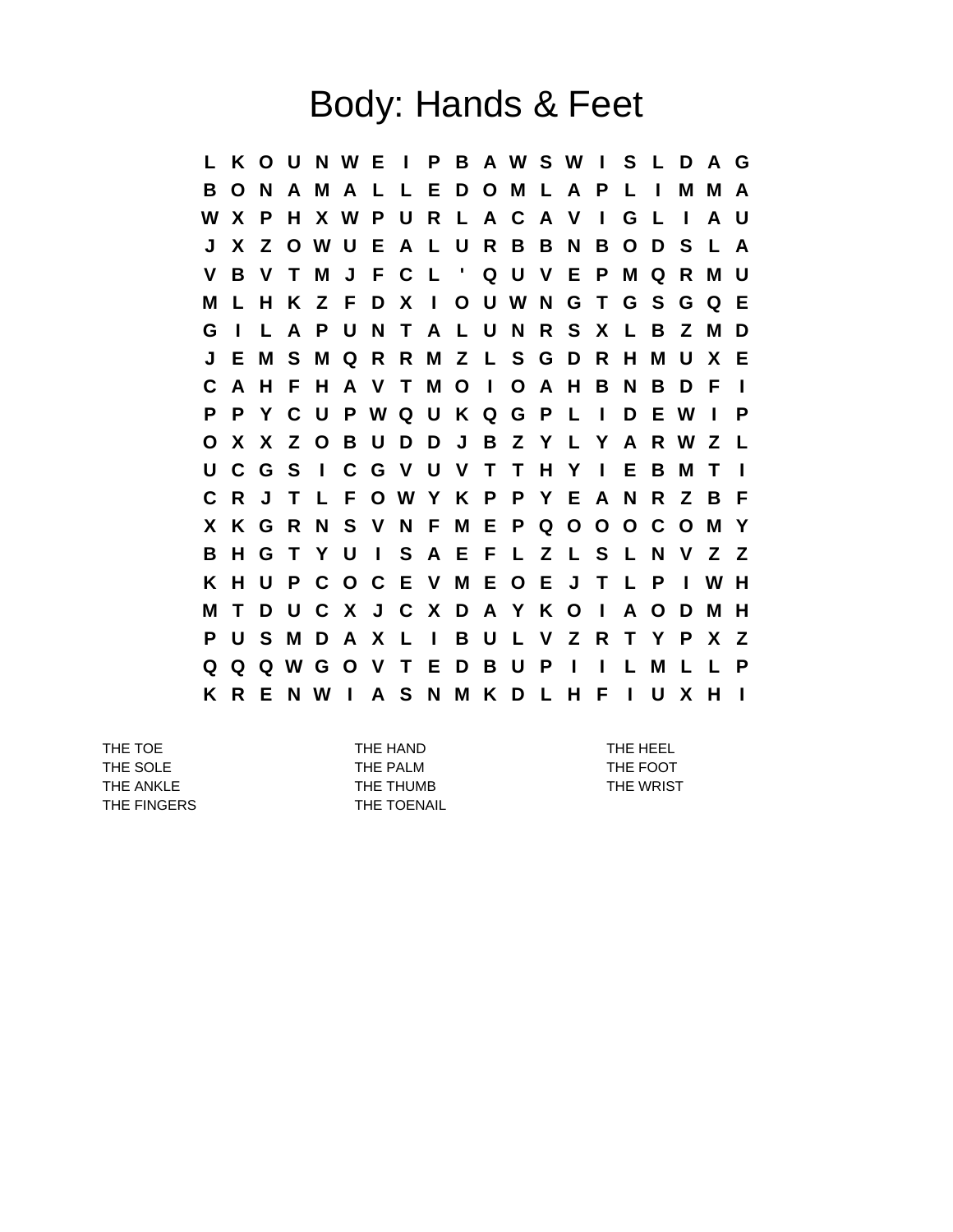## Body: Hands & Feet

**L K O U N W E I P B A W S W I S L D A G B O N A M A L L E D O M L A P L I M M A W X P H X W P U R L A C A V I G L I A U J X Z O W U E A L U R B B N B O D S L A V B V T M J F C L ' Q U V E P M Q R M U M L H K Z F D X I O U W N G T G S G Q E G I L A P U N T A L U N R S X L B Z M D J E M S M Q R R M Z L S G D R H M U X E C A H F H A V T M O I O A H B N B D F I P P Y C U P W Q U K Q G P L I D E W I P O X X Z O B U D D J B Z Y L Y A R W Z L U C G S I C G V U V T T H Y I E B M T I C R J T L F O W Y K P P Y E A N R Z B F X K G R N S V N F M E P Q O O O C O M Y B H G T Y U I S A E F L Z L S L N V Z Z K H U P C O C E V M E O E J T L P I W H M T D U C X J C X D A Y K O I A O D M H P U S M D A X L I B U L V Z R T Y P X Z Q Q Q W G O V T E D B U P I I L M L L P K R E N W I A S N M K D L H F I U X H I**

THE TOE THE HAND THE HAND THE TOE THE SOLE THE PALM THE PALM THE FOOT THE ANKLE THE THUMB THE THUMB THE WRIST THE FINGERS THE TOENAIL